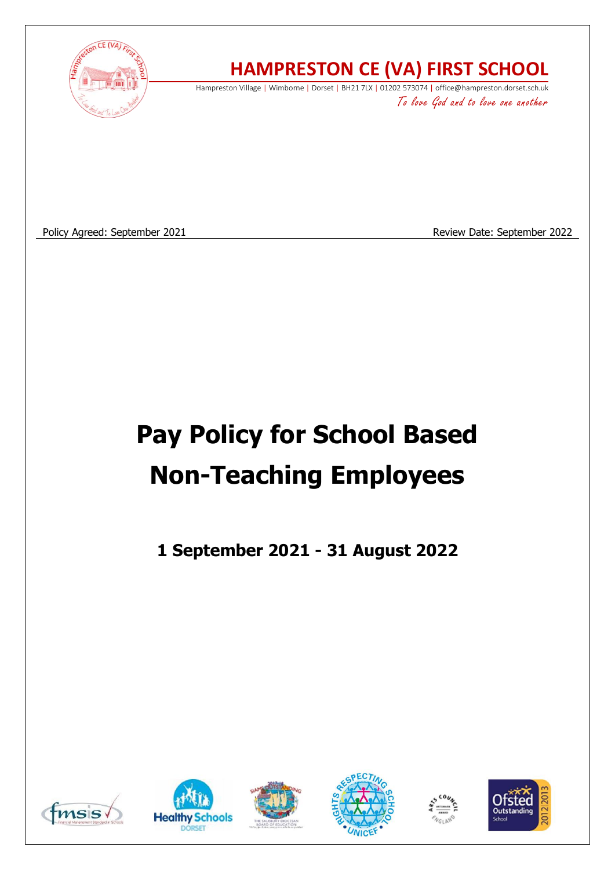

# **HAMPRESTON CE (VA) FIRST SCHOOL**

Hampreston Village | Wimborne | Dorset | BH21 7LX | 01202 573074 | office@hampreston.dorset.sch.uk To love God and to love one another

Policy Agreed: September 2021 and September 2022

# **Pay Policy for School Based Non-Teaching Employees**

**1 September 2021 - 31 August 2022**











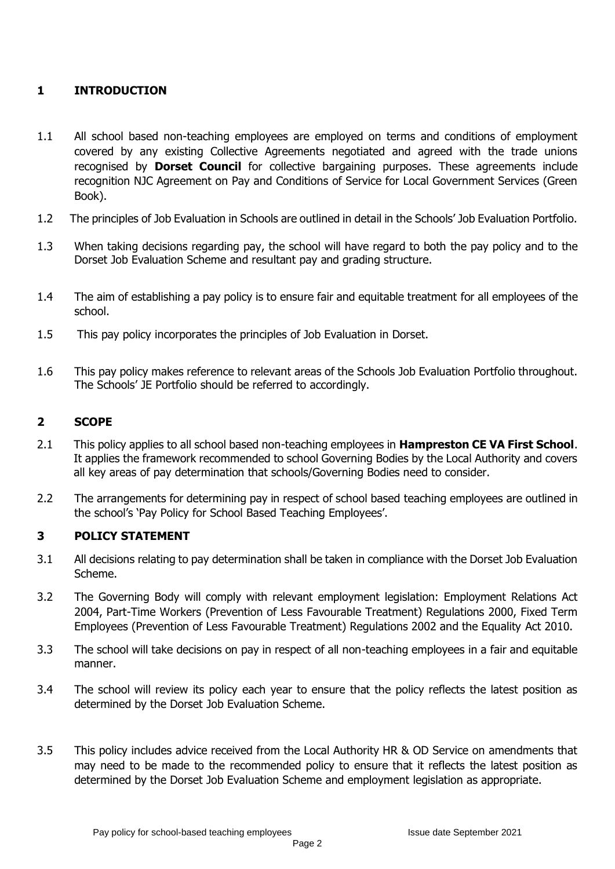# **1 INTRODUCTION**

- 1.1 All school based non-teaching employees are employed on terms and conditions of employment covered by any existing Collective Agreements negotiated and agreed with the trade unions recognised by **Dorset Council** for collective bargaining purposes. These agreements include recognition NJC Agreement on Pay and Conditions of Service for Local Government Services (Green Book).
- 1.2 The principles of Job Evaluation in Schools are outlined in detail in the Schools' Job Evaluation Portfolio.
- 1.3 When taking decisions regarding pay, the school will have regard to both the pay policy and to the Dorset Job Evaluation Scheme and resultant pay and grading structure.
- 1.4 The aim of establishing a pay policy is to ensure fair and equitable treatment for all employees of the school.
- 1.5 This pay policy incorporates the principles of Job Evaluation in Dorset.
- 1.6 This pay policy makes reference to relevant areas of the Schools Job Evaluation Portfolio throughout. The Schools' JE Portfolio should be referred to accordingly.

#### **2 SCOPE**

- 2.1 This policy applies to all school based non-teaching employees in **Hampreston CE VA First School**. It applies the framework recommended to school Governing Bodies by the Local Authority and covers all key areas of pay determination that schools/Governing Bodies need to consider.
- 2.2 The arrangements for determining pay in respect of school based teaching employees are outlined in the school's 'Pay Policy for School Based Teaching Employees'.

#### **3 POLICY STATEMENT**

- 3.1 All decisions relating to pay determination shall be taken in compliance with the Dorset Job Evaluation Scheme.
- 3.2 The Governing Body will comply with relevant employment legislation: Employment Relations Act 2004, Part-Time Workers (Prevention of Less Favourable Treatment) Regulations 2000, Fixed Term Employees (Prevention of Less Favourable Treatment) Regulations 2002 and the Equality Act 2010.
- 3.3 The school will take decisions on pay in respect of all non-teaching employees in a fair and equitable manner.
- 3.4 The school will review its policy each year to ensure that the policy reflects the latest position as determined by the Dorset Job Evaluation Scheme.
- 3.5 This policy includes advice received from the Local Authority HR & OD Service on amendments that may need to be made to the recommended policy to ensure that it reflects the latest position as determined by the Dorset Job Evaluation Scheme and employment legislation as appropriate.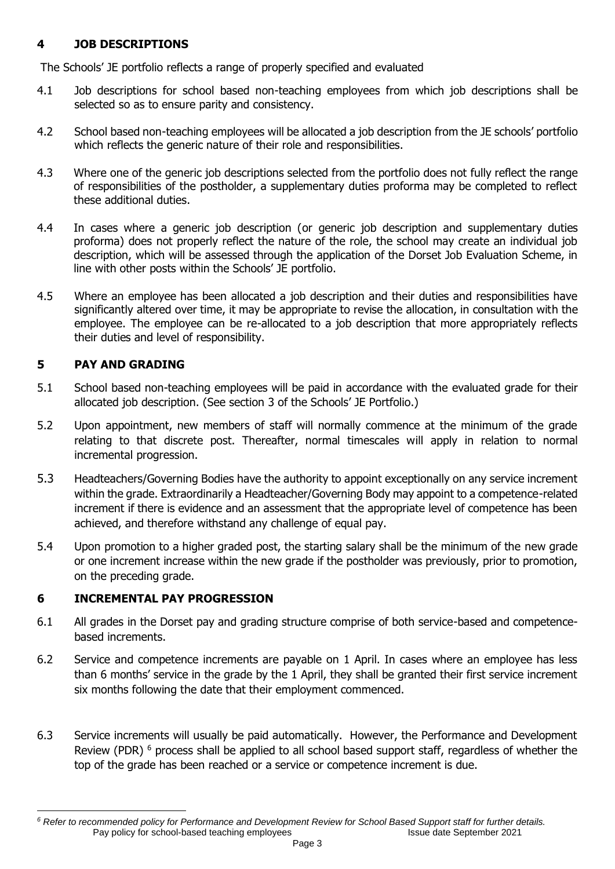# **4 JOB DESCRIPTIONS**

The Schools' JE portfolio reflects a range of properly specified and evaluated

- 4.1 Job descriptions for school based non-teaching employees from which job descriptions shall be selected so as to ensure parity and consistency.
- 4.2 School based non-teaching employees will be allocated a job description from the JE schools' portfolio which reflects the generic nature of their role and responsibilities.
- 4.3 Where one of the generic job descriptions selected from the portfolio does not fully reflect the range of responsibilities of the postholder, a supplementary duties proforma may be completed to reflect these additional duties.
- 4.4 In cases where a generic job description (or generic job description and supplementary duties proforma) does not properly reflect the nature of the role, the school may create an individual job description, which will be assessed through the application of the Dorset Job Evaluation Scheme, in line with other posts within the Schools' JE portfolio.
- 4.5 Where an employee has been allocated a job description and their duties and responsibilities have significantly altered over time, it may be appropriate to revise the allocation, in consultation with the employee. The employee can be re-allocated to a job description that more appropriately reflects their duties and level of responsibility.

# **5 PAY AND GRADING**

- 5.1 School based non-teaching employees will be paid in accordance with the evaluated grade for their allocated job description. (See section 3 of the Schools' JE Portfolio.)
- 5.2 Upon appointment, new members of staff will normally commence at the minimum of the grade relating to that discrete post. Thereafter, normal timescales will apply in relation to normal incremental progression.
- 5.3 Headteachers/Governing Bodies have the authority to appoint exceptionally on any service increment within the grade. Extraordinarily a Headteacher/Governing Body may appoint to a competence-related increment if there is evidence and an assessment that the appropriate level of competence has been achieved, and therefore withstand any challenge of equal pay.
- 5.4 Upon promotion to a higher graded post, the starting salary shall be the minimum of the new grade or one increment increase within the new grade if the postholder was previously, prior to promotion, on the preceding grade.

# **6 INCREMENTAL PAY PROGRESSION**

- 6.1 All grades in the Dorset pay and grading structure comprise of both service-based and competencebased increments.
- 6.2 Service and competence increments are payable on 1 April. In cases where an employee has less than 6 months' service in the grade by the 1 April, they shall be granted their first service increment six months following the date that their employment commenced.
- 6.3 Service increments will usually be paid automatically. However, the Performance and Development Review (PDR)<sup>6</sup> process shall be applied to all school based support staff, regardless of whether the top of the grade has been reached or a service or competence increment is due.

Pay policy for school-based teaching employees Issue date September 2021 *<sup>6</sup> Refer to recommended policy for Performance and Development Review for School Based Support staff for further details.*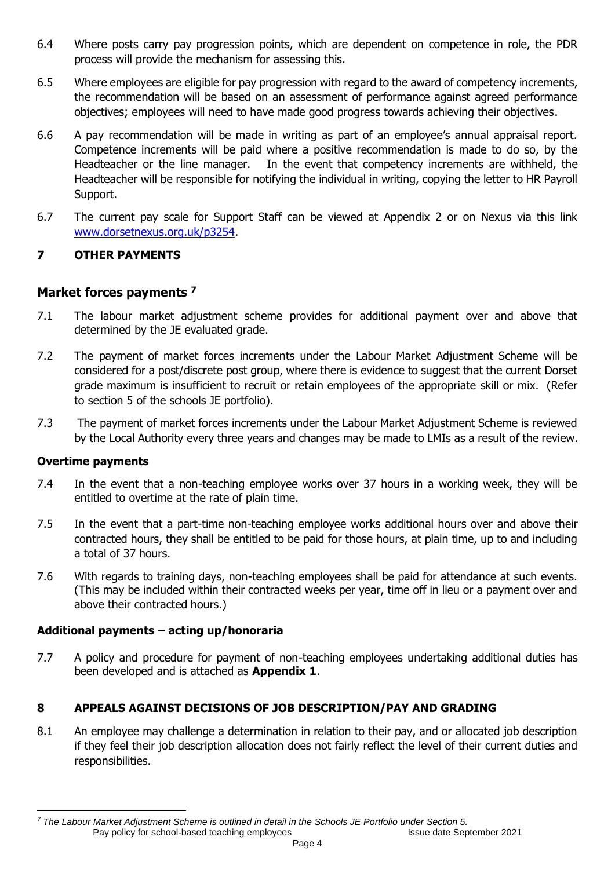- 6.4 Where posts carry pay progression points, which are dependent on competence in role, the PDR process will provide the mechanism for assessing this.
- 6.5 Where employees are eligible for pay progression with regard to the award of competency increments, the recommendation will be based on an assessment of performance against agreed performance objectives; employees will need to have made good progress towards achieving their objectives.
- 6.6 A pay recommendation will be made in writing as part of an employee's annual appraisal report. Competence increments will be paid where a positive recommendation is made to do so, by the Headteacher or the line manager. In the event that competency increments are withheld, the Headteacher will be responsible for notifying the individual in writing, copying the letter to HR Payroll Support.
- 6.7 The current pay scale for Support Staff can be viewed at Appendix 2 or on Nexus via this link [www.dorsetnexus.org.uk/p3254.](http://www.dorsetnexus.org.uk/p3254)

# **7 OTHER PAYMENTS**

# **Market forces payments <sup>7</sup>**

- 7.1 The labour market adjustment scheme provides for additional payment over and above that determined by the JE evaluated grade.
- 7.2 The payment of market forces increments under the Labour Market Adjustment Scheme will be considered for a post/discrete post group, where there is evidence to suggest that the current Dorset grade maximum is insufficient to recruit or retain employees of the appropriate skill or mix. (Refer to section 5 of the schools JE portfolio).
- 7.3 The payment of market forces increments under the Labour Market Adjustment Scheme is reviewed by the Local Authority every three years and changes may be made to LMIs as a result of the review.

#### **Overtime payments**

- 7.4 In the event that a non-teaching employee works over 37 hours in a working week, they will be entitled to overtime at the rate of plain time.
- 7.5 In the event that a part-time non-teaching employee works additional hours over and above their contracted hours, they shall be entitled to be paid for those hours, at plain time, up to and including a total of 37 hours.
- 7.6 With regards to training days, non-teaching employees shall be paid for attendance at such events. (This may be included within their contracted weeks per year, time off in lieu or a payment over and above their contracted hours.)

#### **Additional payments – acting up/honoraria**

7.7 A policy and procedure for payment of non-teaching employees undertaking additional duties has been developed and is attached as **Appendix 1**.

#### **8 APPEALS AGAINST DECISIONS OF JOB DESCRIPTION/PAY AND GRADING**

8.1 An employee may challenge a determination in relation to their pay, and or allocated job description if they feel their job description allocation does not fairly reflect the level of their current duties and responsibilities.

Pay policy for school-based teaching employees Issue date September 2021 *<sup>7</sup> The Labour Market Adjustment Scheme is outlined in detail in the Schools JE Portfolio under Section 5.*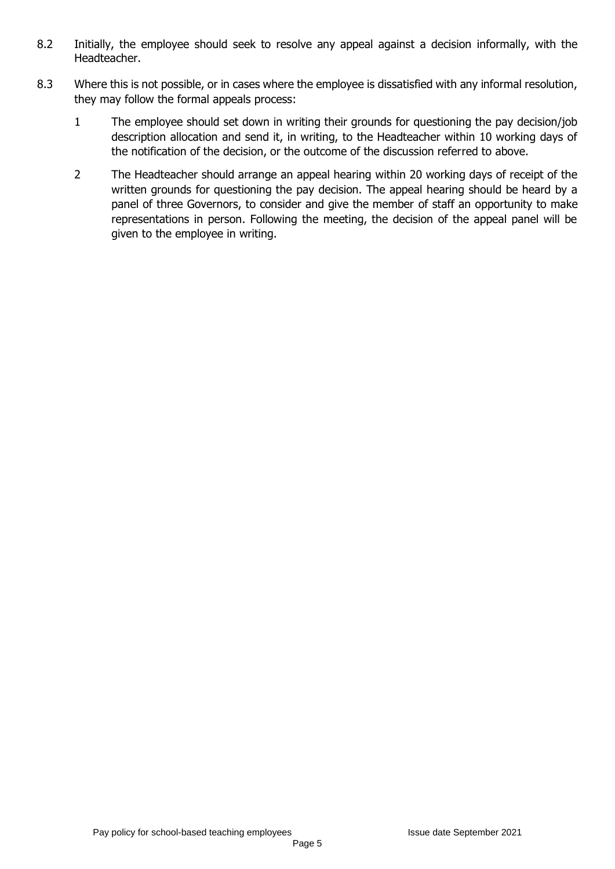- 8.2 Initially, the employee should seek to resolve any appeal against a decision informally, with the Headteacher.
- 8.3 Where this is not possible, or in cases where the employee is dissatisfied with any informal resolution, they may follow the formal appeals process:
	- 1 The employee should set down in writing their grounds for questioning the pay decision/job description allocation and send it, in writing, to the Headteacher within 10 working days of the notification of the decision, or the outcome of the discussion referred to above.
	- 2 The Headteacher should arrange an appeal hearing within 20 working days of receipt of the written grounds for questioning the pay decision. The appeal hearing should be heard by a panel of three Governors, to consider and give the member of staff an opportunity to make representations in person. Following the meeting, the decision of the appeal panel will be given to the employee in writing.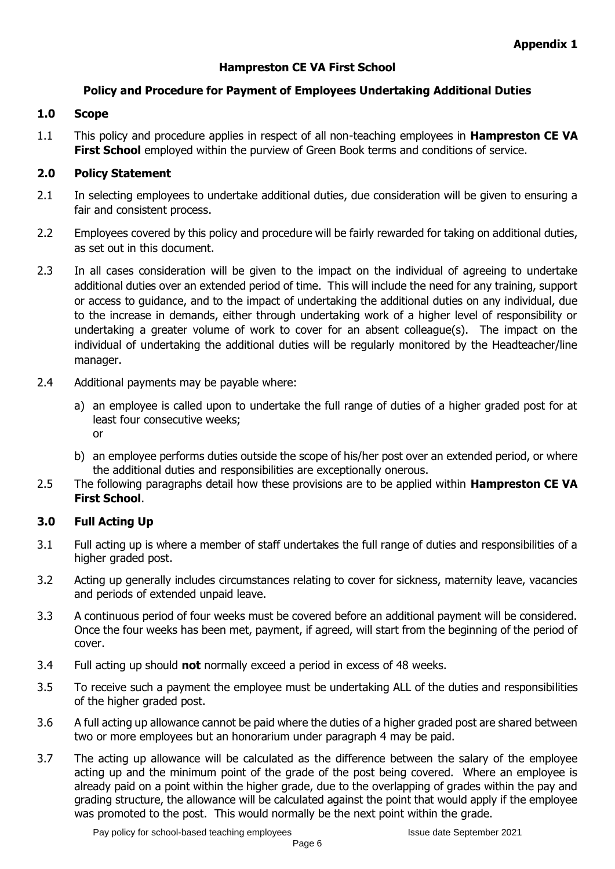# **Hampreston CE VA First School**

#### **Policy and Procedure for Payment of Employees Undertaking Additional Duties**

#### **1.0 Scope**

1.1 This policy and procedure applies in respect of all non-teaching employees in **Hampreston CE VA First School** employed within the purview of Green Book terms and conditions of service.

#### **2.0 Policy Statement**

- 2.1 In selecting employees to undertake additional duties, due consideration will be given to ensuring a fair and consistent process.
- 2.2 Employees covered by this policy and procedure will be fairly rewarded for taking on additional duties, as set out in this document.
- 2.3 In all cases consideration will be given to the impact on the individual of agreeing to undertake additional duties over an extended period of time. This will include the need for any training, support or access to guidance, and to the impact of undertaking the additional duties on any individual, due to the increase in demands, either through undertaking work of a higher level of responsibility or undertaking a greater volume of work to cover for an absent colleague(s). The impact on the individual of undertaking the additional duties will be regularly monitored by the Headteacher/line manager.
- 2.4 Additional payments may be payable where:
	- a) an employee is called upon to undertake the full range of duties of a higher graded post for at least four consecutive weeks; or
	- b) an employee performs duties outside the scope of his/her post over an extended period, or where the additional duties and responsibilities are exceptionally onerous.
- 2.5 The following paragraphs detail how these provisions are to be applied within **Hampreston CE VA First School**.

#### **3.0 Full Acting Up**

- 3.1 Full acting up is where a member of staff undertakes the full range of duties and responsibilities of a higher graded post.
- 3.2 Acting up generally includes circumstances relating to cover for sickness, maternity leave, vacancies and periods of extended unpaid leave.
- 3.3 A continuous period of four weeks must be covered before an additional payment will be considered. Once the four weeks has been met, payment, if agreed, will start from the beginning of the period of cover.
- 3.4 Full acting up should **not** normally exceed a period in excess of 48 weeks.
- 3.5 To receive such a payment the employee must be undertaking ALL of the duties and responsibilities of the higher graded post.
- 3.6 A full acting up allowance cannot be paid where the duties of a higher graded post are shared between two or more employees but an honorarium under paragraph 4 may be paid.
- 3.7 The acting up allowance will be calculated as the difference between the salary of the employee acting up and the minimum point of the grade of the post being covered. Where an employee is already paid on a point within the higher grade, due to the overlapping of grades within the pay and grading structure, the allowance will be calculated against the point that would apply if the employee was promoted to the post. This would normally be the next point within the grade.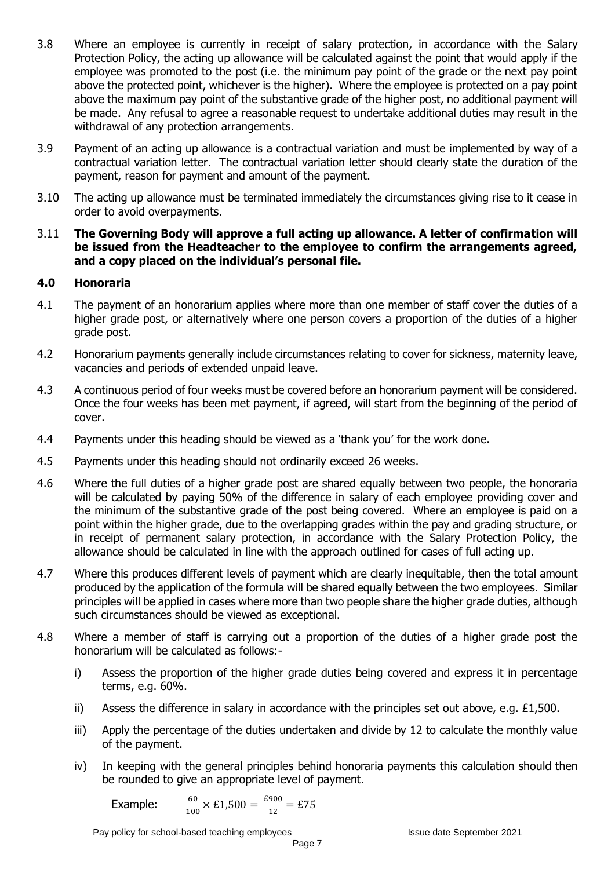- 3.8 Where an employee is currently in receipt of salary protection, in accordance with the Salary Protection Policy, the acting up allowance will be calculated against the point that would apply if the employee was promoted to the post (i.e. the minimum pay point of the grade or the next pay point above the protected point, whichever is the higher). Where the employee is protected on a pay point above the maximum pay point of the substantive grade of the higher post, no additional payment will be made. Any refusal to agree a reasonable request to undertake additional duties may result in the withdrawal of any protection arrangements.
- 3.9 Payment of an acting up allowance is a contractual variation and must be implemented by way of a contractual variation letter. The contractual variation letter should clearly state the duration of the payment, reason for payment and amount of the payment.
- 3.10 The acting up allowance must be terminated immediately the circumstances giving rise to it cease in order to avoid overpayments.
- 3.11 **The Governing Body will approve a full acting up allowance. A letter of confirmation will be issued from the Headteacher to the employee to confirm the arrangements agreed, and a copy placed on the individual's personal file.**

#### **4.0 Honoraria**

- 4.1 The payment of an honorarium applies where more than one member of staff cover the duties of a higher grade post, or alternatively where one person covers a proportion of the duties of a higher grade post.
- 4.2 Honorarium payments generally include circumstances relating to cover for sickness, maternity leave, vacancies and periods of extended unpaid leave.
- 4.3 A continuous period of four weeks must be covered before an honorarium payment will be considered. Once the four weeks has been met payment, if agreed, will start from the beginning of the period of cover.
- 4.4 Payments under this heading should be viewed as a 'thank you' for the work done.
- 4.5 Payments under this heading should not ordinarily exceed 26 weeks.
- 4.6 Where the full duties of a higher grade post are shared equally between two people, the honoraria will be calculated by paying 50% of the difference in salary of each employee providing cover and the minimum of the substantive grade of the post being covered. Where an employee is paid on a point within the higher grade, due to the overlapping grades within the pay and grading structure, or in receipt of permanent salary protection, in accordance with the Salary Protection Policy, the allowance should be calculated in line with the approach outlined for cases of full acting up.
- 4.7 Where this produces different levels of payment which are clearly inequitable, then the total amount produced by the application of the formula will be shared equally between the two employees. Similar principles will be applied in cases where more than two people share the higher grade duties, although such circumstances should be viewed as exceptional.
- 4.8 Where a member of staff is carrying out a proportion of the duties of a higher grade post the honorarium will be calculated as follows:
	- i) Assess the proportion of the higher grade duties being covered and express it in percentage terms, e.g. 60%.
	- ii) Assess the difference in salary in accordance with the principles set out above, e.g. £1,500.
	- iii) Apply the percentage of the duties undertaken and divide by 12 to calculate the monthly value of the payment.
	- iv) In keeping with the general principles behind honoraria payments this calculation should then be rounded to give an appropriate level of payment.

Example: 
$$
\frac{60}{100} \times \text{\pounds}1,500 = \frac{\text{\pounds}900}{12} = \text{\pounds}75
$$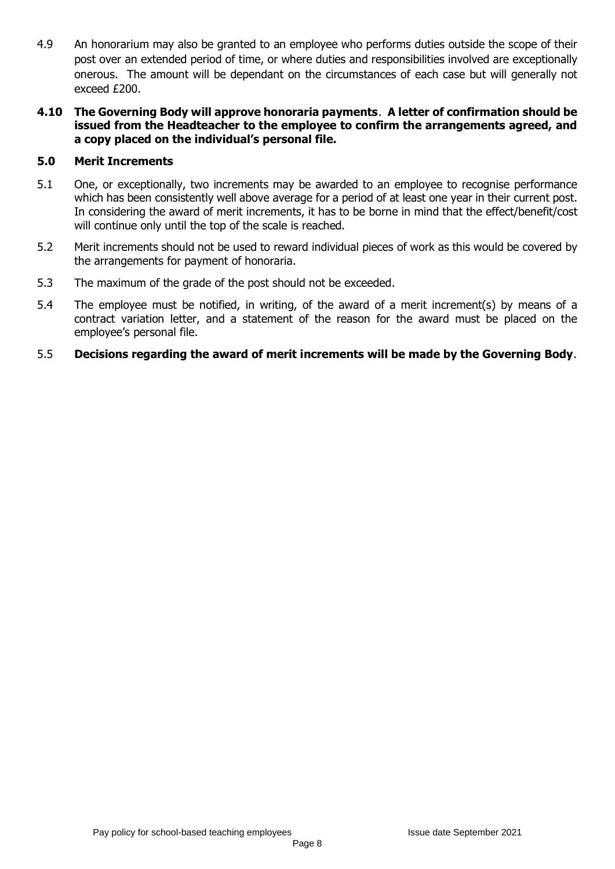- 4.9 An honorarium may also be granted to an employee who performs duties outside the scope of their post over an extended period of time, or where duties and responsibilities involved are exceptionally onerous. The amount will be dependant on the circumstances of each case but will generally not exceed £200.
- **4.10 The Governing Body will approve honoraria payments**. **A letter of confirmation should be issued from the Headteacher to the employee to confirm the arrangements agreed, and a copy placed on the individual's personal file.**

#### **5.0 Merit Increments**

- 5.1 One, or exceptionally, two increments may be awarded to an employee to recognise performance which has been consistently well above average for a period of at least one year in their current post. In considering the award of merit increments, it has to be borne in mind that the effect/benefit/cost will continue only until the top of the scale is reached.
- 5.2 Merit increments should not be used to reward individual pieces of work as this would be covered by the arrangements for payment of honoraria.
- 5.3 The maximum of the grade of the post should not be exceeded.
- 5.4 The employee must be notified, in writing, of the award of a merit increment(s) by means of a contract variation letter, and a statement of the reason for the award must be placed on the employee's personal file.
- 5.5 **Decisions regarding the award of merit increments will be made by the Governing Body**.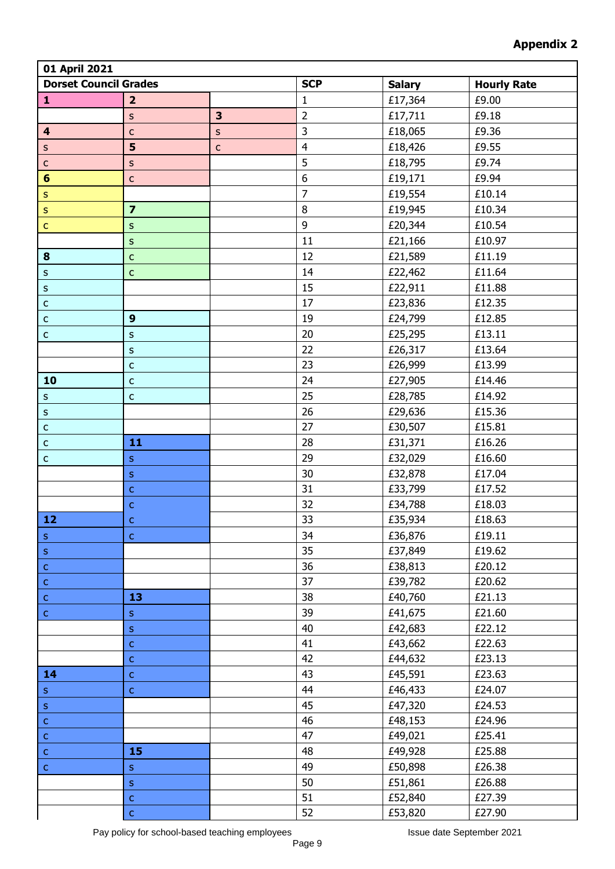| 01 April 2021                |                         |                         |                  |                    |        |  |  |  |
|------------------------------|-------------------------|-------------------------|------------------|--------------------|--------|--|--|--|
| <b>Dorset Council Grades</b> |                         | <b>SCP</b>              | <b>Salary</b>    | <b>Hourly Rate</b> |        |  |  |  |
| $\mathbf{1}$                 | $\overline{2}$          |                         | 1                | £17,364            | £9.00  |  |  |  |
|                              | $\sf S$                 | $\overline{\mathbf{3}}$ | $\overline{2}$   | £17,711            | £9.18  |  |  |  |
| $\overline{\mathbf{4}}$      | $\mathsf{C}$            | $\sf S$                 | 3                | £18,065            | £9.36  |  |  |  |
| $\sf S$                      | 5                       | $\mathsf C$             | $\overline{4}$   | £18,426            | £9.55  |  |  |  |
| $\mathsf C$                  | $\sf S$                 |                         | 5                | £18,795            | £9.74  |  |  |  |
| $6\phantom{1}$               | $\mathsf{C}$            |                         | $\boldsymbol{6}$ | £19,171            | £9.94  |  |  |  |
| $\mathsf S$                  |                         |                         | $\overline{7}$   | £19,554            | £10.14 |  |  |  |
| $\sf S$                      | $\overline{\mathbf{z}}$ |                         | 8                | £19,945            | £10.34 |  |  |  |
| $\mathsf{C}$                 | $\sf S$                 |                         | 9                | £20,344            | £10.54 |  |  |  |
|                              | ${\sf S}$               |                         | 11               | £21,166            | £10.97 |  |  |  |
| 8                            | $\mathsf C$             |                         | 12               | £21,589            | £11.19 |  |  |  |
| $\sf S$                      | $\mathsf{C}$            |                         | 14               | £22,462            | £11.64 |  |  |  |
| $\sf S$                      |                         |                         | 15               | £22,911            | £11.88 |  |  |  |
| $\mathsf C$                  |                         |                         | 17               | £23,836            | £12.35 |  |  |  |
| $\mathsf C$                  | $\boldsymbol{9}$        |                         | 19               | £24,799            | £12.85 |  |  |  |
| $\mathsf C$                  | ${\sf S}$               |                         | 20               | £25,295            | £13.11 |  |  |  |
|                              | ${\sf S}$               |                         | 22               | £26,317            | £13.64 |  |  |  |
|                              | $\mathsf C$             |                         | 23               | £26,999            | £13.99 |  |  |  |
| 10                           | $\mathsf C$             |                         | 24               | £27,905            | £14.46 |  |  |  |
| $\mathsf S$                  | $\mathsf C$             |                         | 25               | £28,785            | £14.92 |  |  |  |
| $\sf S$                      |                         |                         | 26               | £29,636            | £15.36 |  |  |  |
| $\mathsf C$                  |                         |                         | 27               | £30,507            | £15.81 |  |  |  |
| $\mathsf C$                  | 11                      |                         | 28               | £31,371            | £16.26 |  |  |  |
| $\mathsf C$                  | $\mathsf S$             |                         | 29               | £32,029            | £16.60 |  |  |  |
|                              | $\mathsf S$             |                         | 30               | £32,878            | £17.04 |  |  |  |
|                              | $\mathsf{C}$            |                         | 31               | £33,799            | £17.52 |  |  |  |
|                              | $\mathsf C$             |                         | 32               | £34,788            | £18.03 |  |  |  |
| 12                           | $\mathsf{C}$            |                         | 33               | £35,934            | £18.63 |  |  |  |
| $\mathsf S$                  | $\mathsf{C}$            |                         | 34               | £36,876            | £19.11 |  |  |  |
| $\mathsf{s}$                 |                         |                         | 35               | £37,849            | £19.62 |  |  |  |
| ${\mathsf c}$                |                         |                         | 36               | £38,813            | £20.12 |  |  |  |
| $\mathsf{C}$                 |                         |                         | 37               | £39,782            | £20.62 |  |  |  |
| $\mathsf{C}$                 | 13                      |                         | 38               | £40,760            | £21.13 |  |  |  |
| $\mathsf C$                  | $\mathsf S$             |                         | 39               | £41,675            | £21.60 |  |  |  |
|                              | $\mathsf S$             |                         | 40               | £42,683            | £22.12 |  |  |  |
|                              | $\mathsf{C}$            |                         | 41               | £43,662            | £22.63 |  |  |  |
|                              | $\mathsf{C}$            |                         | 42               | £44,632            | £23.13 |  |  |  |
| 14                           | $\mathsf C$             |                         | 43               | £45,591            | £23.63 |  |  |  |
| ${\sf S}$                    | $\mathsf C$             |                         | 44               | £46,433            | £24.07 |  |  |  |
| $\bar{\mathbf{s}}$           |                         |                         | 45               | £47,320            | £24.53 |  |  |  |
| $\mathsf{C}$                 |                         |                         | 46               | £48,153            | £24.96 |  |  |  |
| $\mathsf{C}$                 |                         |                         | 47               | £49,021            | £25.41 |  |  |  |
| $\mathsf{C}$                 | 15                      |                         | 48               | £49,928            | £25.88 |  |  |  |
| $\mathsf{C}$                 | $\mathsf S$             |                         | 49               | £50,898            | £26.38 |  |  |  |
|                              | $\mathsf S$             |                         | 50               | £51,861            | £26.88 |  |  |  |
|                              | $\mathsf{C}$            |                         | 51               | £52,840            | £27.39 |  |  |  |
|                              | $\mathsf{C}$            |                         | 52               | £53,820            | £27.90 |  |  |  |